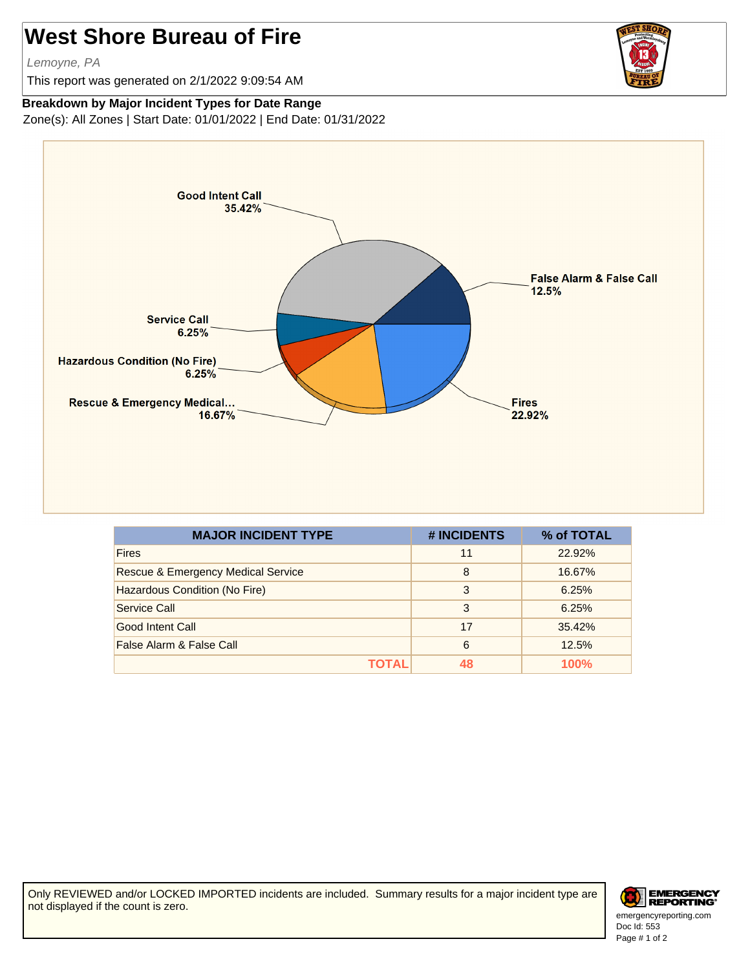## **West Shore Bureau of Fire**

Lemoyne, PA

This report was generated on 2/1/2022 9:09:54 AM



## **Breakdown by Major Incident Types for Date Range**

Zone(s): All Zones | Start Date: 01/01/2022 | End Date: 01/31/2022



| <b>MAJOR INCIDENT TYPE</b>                    | # INCIDENTS | % of TOTAL  |
|-----------------------------------------------|-------------|-------------|
| <b>Fires</b>                                  | 11          | 22.92%      |
| <b>Rescue &amp; Emergency Medical Service</b> | 8           | 16.67%      |
| Hazardous Condition (No Fire)                 | 3           | 6.25%       |
| Service Call                                  | 3           | 6.25%       |
| Good Intent Call                              | 17          | 35.42%      |
| False Alarm & False Call                      | 6           | 12.5%       |
| ΤΟΤΑL                                         |             | <b>100%</b> |

Only REVIEWED and/or LOCKED IMPORTED incidents are included. Summary results for a major incident type are not displayed if the count is zero.



Doc Id: 553 emergencyreporting.com Page # 1 of 2